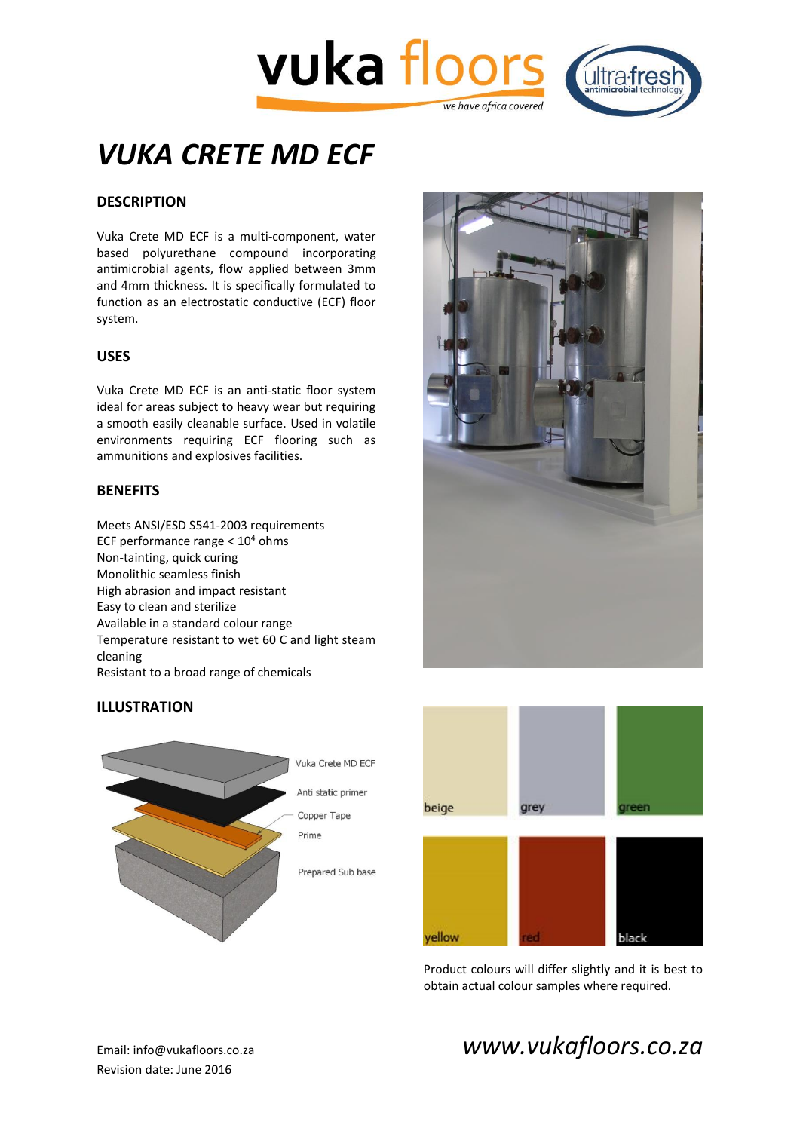



# *VUKA CRETE MD ECF*

# **DESCRIPTION**

Vuka Crete MD ECF is a multi-component, water based polyurethane compound incorporating antimicrobial agents, flow applied between 3mm and 4mm thickness. It is specifically formulated to function as an electrostatic conductive (ECF) floor system.

# **USES**

Vuka Crete MD ECF is an anti-static floor system ideal for areas subject to heavy wear but requiring a smooth easily cleanable surface. Used in volatile environments requiring ECF flooring such as ammunitions and explosives facilities.

## **BENEFITS**

Meets ANSI/ESD S541-2003 requirements ECF performance range  $< 10<sup>4</sup>$  ohms Non-tainting, quick curing Monolithic seamless finish High abrasion and impact resistant Easy to clean and sterilize Available in a standard colour range Temperature resistant to wet 60 C and light steam cleaning Resistant to a broad range of chemicals







Product colours will differ slightly and it is best to obtain actual colour samples where required.

# Email: info@vukafloors.co.za *www.vukafloors.co.za*

# **ILLUSTRATION**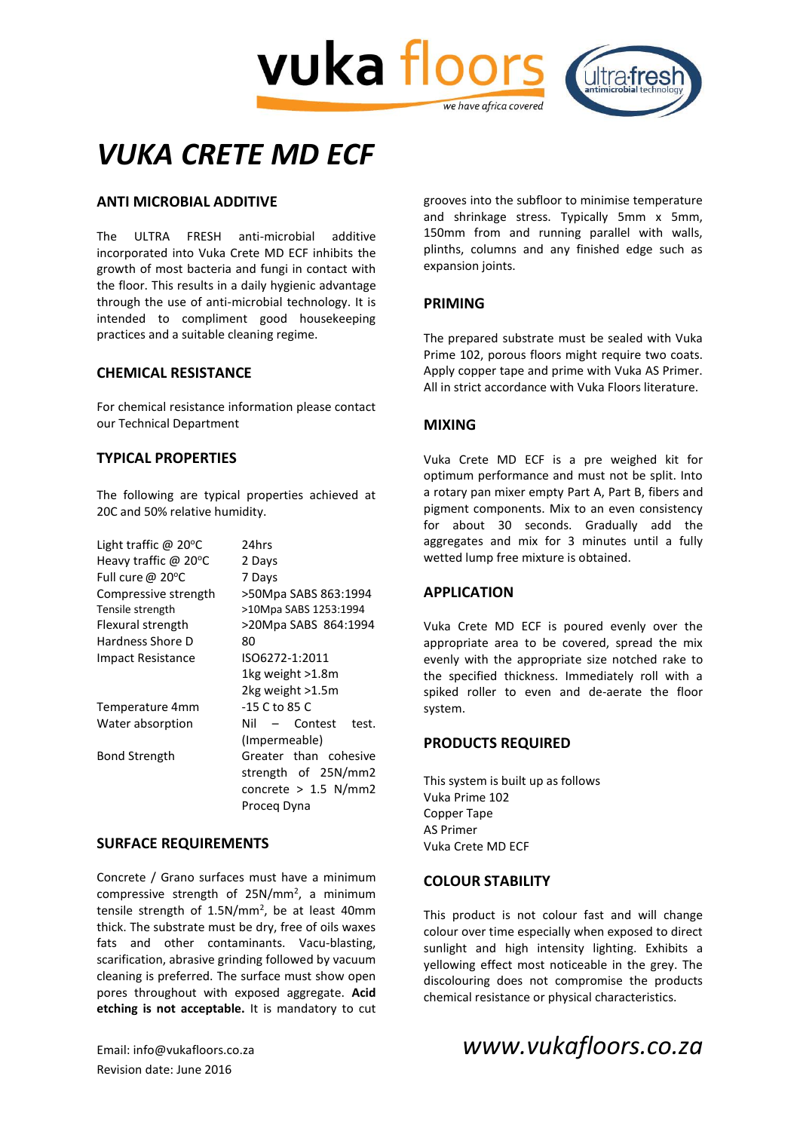

# *VUKA CRETE MD ECF*

# **ANTI MICROBIAL ADDITIVE**

The ULTRA FRESH anti-microbial additive incorporated into Vuka Crete MD ECF inhibits the growth of most bacteria and fungi in contact with the floor. This results in a daily hygienic advantage through the use of anti-microbial technology. It is intended to compliment good housekeeping practices and a suitable cleaning regime.

#### **CHEMICAL RESISTANCE**

For chemical resistance information please contact our Technical Department

# **TYPICAL PROPERTIES**

The following are typical properties achieved at 20C and 50% relative humidity.

| Light traffic $\omega$ 20°C | 24hrs                     |
|-----------------------------|---------------------------|
| Heavy traffic $\omega$ 20°C | 2 Days                    |
| Full cure @ $20^{\circ}$ C  | 7 Days                    |
| Compressive strength        | >50Mpa SABS 863:1994      |
| Tensile strength            | >10Mpa SABS 1253:1994     |
| Flexural strength           | >20Mpa SABS 864:1994      |
| Hardness Shore D            | 80                        |
| Impact Resistance           | ISO6272-1:2011            |
|                             | 1kg weight >1.8m          |
|                             | 2kg weight >1.5m          |
| Temperature 4mm             | $-15$ C to 85 C           |
| Water absorption            | – Contest<br>test.<br>Nil |
|                             | (Impermeable)             |
| <b>Bond Strength</b>        | Greater than cohesive     |
|                             | strength of 25N/mm2       |
|                             | concrete $> 1.5$ N/mm2    |
|                             | Proceg Dyna               |

#### **SURFACE REQUIREMENTS**

Concrete / Grano surfaces must have a minimum compressive strength of 25N/mm<sup>2</sup>, a minimum tensile strength of  $1.5N/mm^2$ , be at least 40mm thick. The substrate must be dry, free of oils waxes fats and other contaminants. Vacu-blasting, scarification, abrasive grinding followed by vacuum cleaning is preferred. The surface must show open pores throughout with exposed aggregate. **Acid etching is not acceptable.** It is mandatory to cut

Revision date: June 2016

grooves into the subfloor to minimise temperature and shrinkage stress. Typically 5mm x 5mm, 150mm from and running parallel with walls, plinths, columns and any finished edge such as expansion joints.

## **PRIMING**

The prepared substrate must be sealed with Vuka Prime 102, porous floors might require two coats. Apply copper tape and prime with Vuka AS Primer. All in strict accordance with Vuka Floors literature.

## **MIXING**

Vuka Crete MD ECF is a pre weighed kit for optimum performance and must not be split. Into a rotary pan mixer empty Part A, Part B, fibers and pigment components. Mix to an even consistency for about 30 seconds. Gradually add the aggregates and mix for 3 minutes until a fully wetted lump free mixture is obtained.

#### **APPLICATION**

Vuka Crete MD ECF is poured evenly over the appropriate area to be covered, spread the mix evenly with the appropriate size notched rake to the specified thickness. Immediately roll with a spiked roller to even and de-aerate the floor system.

## **PRODUCTS REQUIRED**

This system is built up as follows Vuka Prime 102 Copper Tape AS Primer Vuka Crete MD ECF

#### **COLOUR STABILITY**

This product is not colour fast and will change colour over time especially when exposed to direct sunlight and high intensity lighting. Exhibits a yellowing effect most noticeable in the grey. The discolouring does not compromise the products chemical resistance or physical characteristics.

# Email: info@vukafloors.co.za *www.vukafloors.co.za*